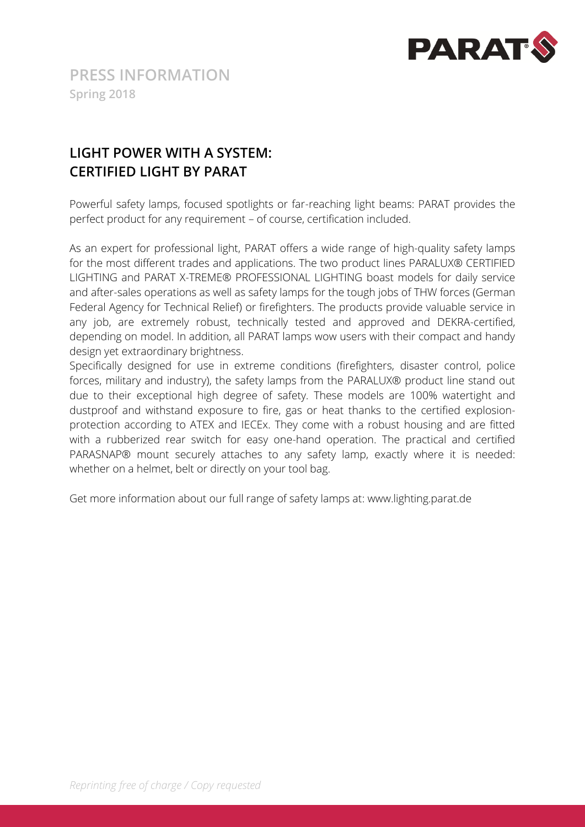

# **LIGHT POWER WITH A SYSTEM: CERTIFIED LIGHT BY PARAT**

Powerful safety lamps, focused spotlights or far-reaching light beams: PARAT provides the perfect product for any requirement – of course, certification included.

As an expert for professional light, PARAT offers a wide range of high-quality safety lamps for the most different trades and applications. The two product lines PARALUX® CERTIFIED LIGHTING and PARAT X-TREME® PROFESSIONAL LIGHTING boast models for daily service and after-sales operations as well as safety lamps for the tough jobs of THW forces (German Federal Agency for Technical Relief) or firefighters. The products provide valuable service in any job, are extremely robust, technically tested and approved and DEKRA-certified, depending on model. In addition, all PARAT lamps wow users with their compact and handy design yet extraordinary brightness.

Specifically designed for use in extreme conditions (firefighters, disaster control, police forces, military and industry), the safety lamps from the PARALUX® product line stand out due to their exceptional high degree of safety. These models are 100% watertight and dustproof and withstand exposure to fire, gas or heat thanks to the certified explosionprotection according to ATEX and IECEx. They come with a robust housing and are fitted with a rubberized rear switch for easy one-hand operation. The practical and certified PARASNAP® mount securely attaches to any safety lamp, exactly where it is needed: whether on a helmet, belt or directly on your tool bag.

Get more information about our full range of safety lamps at: www.lighting.parat.de